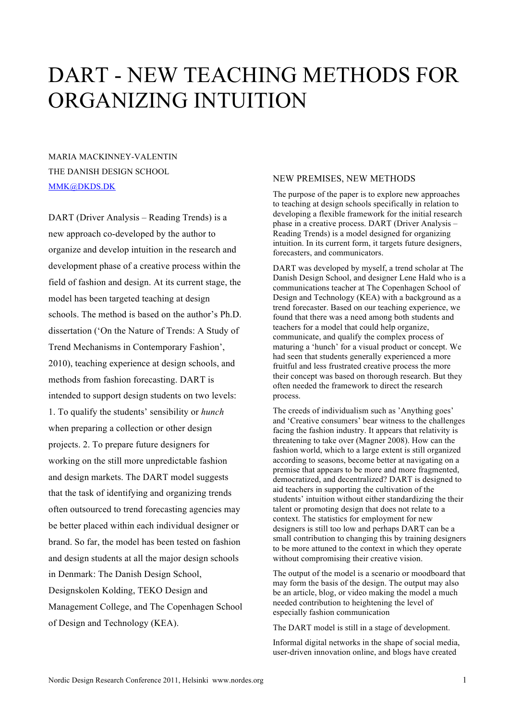# DART - NEW TEACHING METHODS FOR ORGANIZING INTUITION

MARIA MACKINNEY-VALENTIN THE DANISH DESIGN SCHOOL MMK@DKDS.DK

DART (Driver Analysis – Reading Trends) is a new approach co-developed by the author to organize and develop intuition in the research and development phase of a creative process within the field of fashion and design. At its current stage, the model has been targeted teaching at design schools. The method is based on the author's Ph.D. dissertation ('On the Nature of Trends: A Study of Trend Mechanisms in Contemporary Fashion', 2010), teaching experience at design schools, and methods from fashion forecasting. DART is intended to support design students on two levels: 1. To qualify the students' sensibility or *hunch* when preparing a collection or other design projects. 2. To prepare future designers for working on the still more unpredictable fashion and design markets. The DART model suggests that the task of identifying and organizing trends often outsourced to trend forecasting agencies may be better placed within each individual designer or brand. So far, the model has been tested on fashion and design students at all the major design schools in Denmark: The Danish Design School, Designskolen Kolding, TEKO Design and Management College, and The Copenhagen School of Design and Technology (KEA).

# NEW PREMISES, NEW METHODS

The purpose of the paper is to explore new approaches to teaching at design schools specifically in relation to developing a flexible framework for the initial research phase in a creative process. DART (Driver Analysis – Reading Trends) is a model designed for organizing intuition. In its current form, it targets future designers, forecasters, and communicators.

DART was developed by myself, a trend scholar at The Danish Design School, and designer Lene Hald who is a communications teacher at The Copenhagen School of Design and Technology (KEA) with a background as a trend forecaster. Based on our teaching experience, we found that there was a need among both students and teachers for a model that could help organize, communicate, and qualify the complex process of maturing a 'hunch' for a visual product or concept. We had seen that students generally experienced a more fruitful and less frustrated creative process the more their concept was based on thorough research. But they often needed the framework to direct the research process.

The creeds of individualism such as 'Anything goes' and 'Creative consumers' bear witness to the challenges facing the fashion industry. It appears that relativity is threatening to take over (Magner 2008). How can the fashion world, which to a large extent is still organized according to seasons, become better at navigating on a premise that appears to be more and more fragmented, democratized, and decentralized? DART is designed to aid teachers in supporting the cultivation of the students' intuition without either standardizing the their talent or promoting design that does not relate to a context. The statistics for employment for new designers is still too low and perhaps DART can be a small contribution to changing this by training designers to be more attuned to the context in which they operate without compromising their creative vision.

The output of the model is a scenario or moodboard that may form the basis of the design. The output may also be an article, blog, or video making the model a much needed contribution to heightening the level of especially fashion communication

The DART model is still in a stage of development.

Informal digital networks in the shape of social media, user-driven innovation online, and blogs have created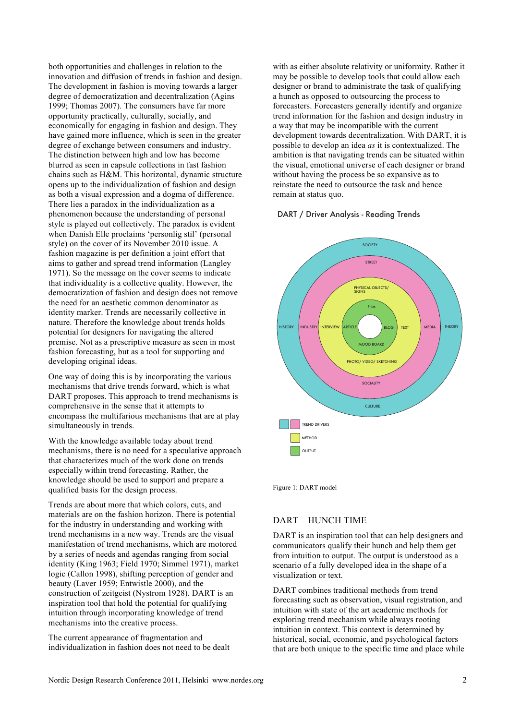both opportunities and challenges in relation to the innovation and diffusion of trends in fashion and design. The development in fashion is moving towards a larger degree of democratization and decentralization (Agins 1999; Thomas 2007). The consumers have far more opportunity practically, culturally, socially, and economically for engaging in fashion and design. They have gained more influence, which is seen in the greater degree of exchange between consumers and industry. The distinction between high and low has become blurred as seen in capsule collections in fast fashion chains such as H&M. This horizontal, dynamic structure opens up to the individualization of fashion and design as both a visual expression and a dogma of difference. There lies a paradox in the individualization as a phenomenon because the understanding of personal style is played out collectively. The paradox is evident when Danish Elle proclaims 'personlig stil' (personal style) on the cover of its November 2010 issue. A fashion magazine is per definition a joint effort that aims to gather and spread trend information (Langley 1971). So the message on the cover seems to indicate that individuality is a collective quality. However, the democratization of fashion and design does not remove the need for an aesthetic common denominator as identity marker. Trends are necessarily collective in nature. Therefore the knowledge about trends holds potential for designers for navigating the altered premise. Not as a prescriptive measure as seen in most fashion forecasting, but as a tool for supporting and developing original ideas.

One way of doing this is by incorporating the various mechanisms that drive trends forward, which is what DART proposes. This approach to trend mechanisms is comprehensive in the sense that it attempts to encompass the multifarious mechanisms that are at play simultaneously in trends.

With the knowledge available today about trend mechanisms, there is no need for a speculative approach that characterizes much of the work done on trends especially within trend forecasting. Rather, the knowledge should be used to support and prepare a qualified basis for the design process.

Trends are about more that which colors, cuts, and materials are on the fashion horizon. There is potential for the industry in understanding and working with trend mechanisms in a new way. Trends are the visual manifestation of trend mechanisms, which are motored by a series of needs and agendas ranging from social identity (King 1963; Field 1970; Simmel 1971), market logic (Callon 1998), shifting perception of gender and beauty (Laver 1959; Entwistle 2000), and the construction of zeitgeist (Nystrom 1928). DART is an inspiration tool that hold the potential for qualifying intuition through incorporating knowledge of trend mechanisms into the creative process.

The current appearance of fragmentation and individualization in fashion does not need to be dealt

with as either absolute relativity or uniformity. Rather it may be possible to develop tools that could allow each designer or brand to administrate the task of qualifying a hunch as opposed to outsourcing the process to forecasters. Forecasters generally identify and organize trend information for the fashion and design industry in a way that may be incompatible with the current development towards decentralization. With DART, it is possible to develop an idea *as* it is contextualized. The ambition is that navigating trends can be situated within the visual, emotional universe of each designer or brand without having the process be so expansive as to reinstate the need to outsource the task and hence remain at status quo.

### DART / Driver Analysis - Reading Trends



Figure 1: DART model

# DART – HUNCH TIME

DART is an inspiration tool that can help designers and communicators qualify their hunch and help them get from intuition to output. The output is understood as a scenario of a fully developed idea in the shape of a visualization or text.

DART combines traditional methods from trend forecasting such as observation, visual registration, and intuition with state of the art academic methods for exploring trend mechanism while always rooting intuition in context. This context is determined by historical, social, economic, and psychological factors that are both unique to the specific time and place while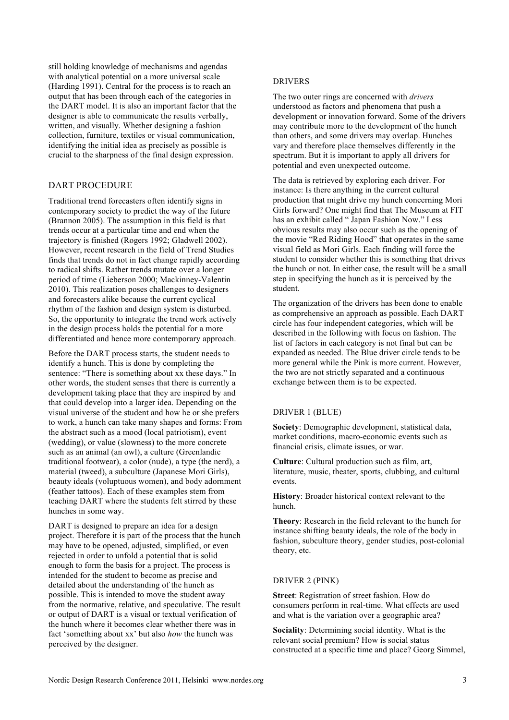still holding knowledge of mechanisms and agendas with analytical potential on a more universal scale (Harding 1991). Central for the process is to reach an output that has been through each of the categories in the DART model. It is also an important factor that the designer is able to communicate the results verbally, written, and visually. Whether designing a fashion collection, furniture, textiles or visual communication, identifying the initial idea as precisely as possible is crucial to the sharpness of the final design expression.

## DART PROCEDURE

Traditional trend forecasters often identify signs in contemporary society to predict the way of the future (Brannon 2005). The assumption in this field is that trends occur at a particular time and end when the trajectory is finished (Rogers 1992; Gladwell 2002). However, recent research in the field of Trend Studies finds that trends do not in fact change rapidly according to radical shifts. Rather trends mutate over a longer period of time (Lieberson 2000; Mackinney-Valentin 2010). This realization poses challenges to designers and forecasters alike because the current cyclical rhythm of the fashion and design system is disturbed. So, the opportunity to integrate the trend work actively in the design process holds the potential for a more differentiated and hence more contemporary approach.

Before the DART process starts, the student needs to identify a hunch. This is done by completing the sentence: "There is something about xx these days." In other words, the student senses that there is currently a development taking place that they are inspired by and that could develop into a larger idea. Depending on the visual universe of the student and how he or she prefers to work, a hunch can take many shapes and forms: From the abstract such as a mood (local patriotism), event (wedding), or value (slowness) to the more concrete such as an animal (an owl), a culture (Greenlandic traditional footwear), a color (nude), a type (the nerd), a material (tweed), a subculture (Japanese Mori Girls), beauty ideals (voluptuous women), and body adornment (feather tattoos). Each of these examples stem from teaching DART where the students felt stirred by these hunches in some way.

DART is designed to prepare an idea for a design project. Therefore it is part of the process that the hunch may have to be opened, adjusted, simplified, or even rejected in order to unfold a potential that is solid enough to form the basis for a project. The process is intended for the student to become as precise and detailed about the understanding of the hunch as possible. This is intended to move the student away from the normative, relative, and speculative. The result or output of DART is a visual or textual verification of the hunch where it becomes clear whether there was in fact 'something about xx' but also *how* the hunch was perceived by the designer.

## DRIVERS

The two outer rings are concerned with *drivers* understood as factors and phenomena that push a development or innovation forward. Some of the drivers may contribute more to the development of the hunch than others, and some drivers may overlap. Hunches vary and therefore place themselves differently in the spectrum. But it is important to apply all drivers for potential and even unexpected outcome.

The data is retrieved by exploring each driver. For instance: Is there anything in the current cultural production that might drive my hunch concerning Mori Girls forward? One might find that The Museum at FIT has an exhibit called " Japan Fashion Now." Less obvious results may also occur such as the opening of the movie "Red Riding Hood" that operates in the same visual field as Mori Girls. Each finding will force the student to consider whether this is something that drives the hunch or not. In either case, the result will be a small step in specifying the hunch as it is perceived by the student.

The organization of the drivers has been done to enable as comprehensive an approach as possible. Each DART circle has four independent categories, which will be described in the following with focus on fashion. The list of factors in each category is not final but can be expanded as needed. The Blue driver circle tends to be more general while the Pink is more current. However, the two are not strictly separated and a continuous exchange between them is to be expected.

#### DRIVER 1 (BLUE)

**Society**: Demographic development, statistical data, market conditions, macro-economic events such as financial crisis, climate issues, or war.

**Culture**: Cultural production such as film, art, literature, music, theater, sports, clubbing, and cultural events.

**History**: Broader historical context relevant to the hunch.

**Theory**: Research in the field relevant to the hunch for instance shifting beauty ideals, the role of the body in fashion, subculture theory, gender studies, post-colonial theory, etc.

#### DRIVER 2 (PINK)

**Street**: Registration of street fashion. How do consumers perform in real-time. What effects are used and what is the variation over a geographic area?

**Sociality**: Determining social identity. What is the relevant social premium? How is social status constructed at a specific time and place? Georg Simmel,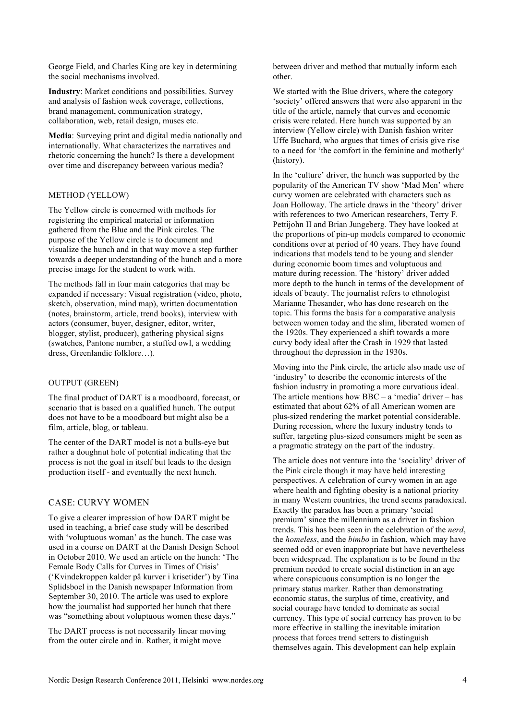George Field, and Charles King are key in determining the social mechanisms involved.

**Industry**: Market conditions and possibilities. Survey and analysis of fashion week coverage, collections, brand management, communication strategy, collaboration, web, retail design, muses etc.

**Media**: Surveying print and digital media nationally and internationally. What characterizes the narratives and rhetoric concerning the hunch? Is there a development over time and discrepancy between various media?

## METHOD (YELLOW)

The Yellow circle is concerned with methods for registering the empirical material or information gathered from the Blue and the Pink circles. The purpose of the Yellow circle is to document and visualize the hunch and in that way move a step further towards a deeper understanding of the hunch and a more precise image for the student to work with.

The methods fall in four main categories that may be expanded if necessary: Visual registration (video, photo, sketch, observation, mind map), written documentation (notes, brainstorm, article, trend books), interview with actors (consumer, buyer, designer, editor, writer, blogger, stylist, producer), gathering physical signs (swatches, Pantone number, a stuffed owl, a wedding dress, Greenlandic folklore…).

## OUTPUT (GREEN)

The final product of DART is a moodboard, forecast, or scenario that is based on a qualified hunch. The output does not have to be a moodboard but might also be a film, article, blog, or tableau.

The center of the DART model is not a bulls-eye but rather a doughnut hole of potential indicating that the process is not the goal in itself but leads to the design production itself - and eventually the next hunch.

# CASE: CURVY WOMEN

To give a clearer impression of how DART might be used in teaching, a brief case study will be described with 'voluptuous woman' as the hunch. The case was used in a course on DART at the Danish Design School in October 2010. We used an article on the hunch: 'The Female Body Calls for Curves in Times of Crisis' ('Kvindekroppen kalder på kurver i krisetider') by Tina Splidsboel in the Danish newspaper Information from September 30, 2010. The article was used to explore how the journalist had supported her hunch that there was "something about voluptuous women these days."

The DART process is not necessarily linear moving from the outer circle and in. Rather, it might move

between driver and method that mutually inform each other.

We started with the Blue drivers, where the category 'society' offered answers that were also apparent in the title of the article, namely that curves and economic crisis were related. Here hunch was supported by an interview (Yellow circle) with Danish fashion writer Uffe Buchard, who argues that times of crisis give rise to a need for 'the comfort in the feminine and motherly' (history).

In the 'culture' driver, the hunch was supported by the popularity of the American TV show 'Mad Men' where curvy women are celebrated with characters such as Joan Holloway. The article draws in the 'theory' driver with references to two American researchers, Terry F. Pettijohn II and Brian Jungeberg. They have looked at the proportions of pin-up models compared to economic conditions over at period of 40 years. They have found indications that models tend to be young and slender during economic boom times and voluptuous and mature during recession. The 'history' driver added more depth to the hunch in terms of the development of ideals of beauty. The journalist refers to ethnologist Marianne Thesander, who has done research on the topic. This forms the basis for a comparative analysis between women today and the slim, liberated women of the 1920s. They experienced a shift towards a more curvy body ideal after the Crash in 1929 that lasted throughout the depression in the 1930s.

Moving into the Pink circle, the article also made use of 'industry' to describe the economic interests of the fashion industry in promoting a more curvatious ideal. The article mentions how  $BBC - a$  'media' driver – has estimated that about 62% of all American women are plus-sized rendering the market potential considerable. During recession, where the luxury industry tends to suffer, targeting plus-sized consumers might be seen as a pragmatic strategy on the part of the industry.

The article does not venture into the 'sociality' driver of the Pink circle though it may have held interesting perspectives. A celebration of curvy women in an age where health and fighting obesity is a national priority in many Western countries, the trend seems paradoxical. Exactly the paradox has been a primary 'social premium' since the millennium as a driver in fashion trends. This has been seen in the celebration of the *nerd*, the *homeless*, and the *bimbo* in fashion, which may have seemed odd or even inappropriate but have nevertheless been widespread. The explanation is to be found in the premium needed to create social distinction in an age where conspicuous consumption is no longer the primary status marker. Rather than demonstrating economic status, the surplus of time, creativity, and social courage have tended to dominate as social currency. This type of social currency has proven to be more effective in stalling the inevitable imitation process that forces trend setters to distinguish themselves again. This development can help explain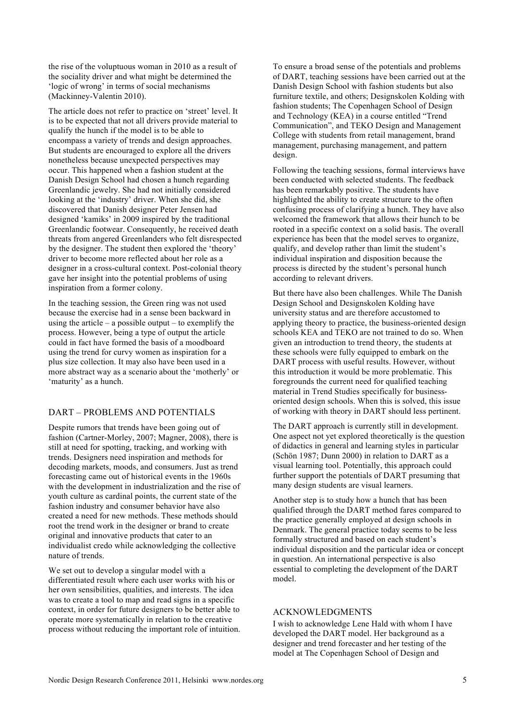the rise of the voluptuous woman in 2010 as a result of the sociality driver and what might be determined the 'logic of wrong' in terms of social mechanisms (Mackinney-Valentin 2010).

The article does not refer to practice on 'street' level. It is to be expected that not all drivers provide material to qualify the hunch if the model is to be able to encompass a variety of trends and design approaches. But students are encouraged to explore all the drivers nonetheless because unexpected perspectives may occur. This happened when a fashion student at the Danish Design School had chosen a hunch regarding Greenlandic jewelry. She had not initially considered looking at the 'industry' driver. When she did, she discovered that Danish designer Peter Jensen had designed 'kamiks' in 2009 inspired by the traditional Greenlandic footwear. Consequently, he received death threats from angered Greenlanders who felt disrespected by the designer. The student then explored the 'theory' driver to become more reflected about her role as a designer in a cross-cultural context. Post-colonial theory gave her insight into the potential problems of using inspiration from a former colony.

In the teaching session, the Green ring was not used because the exercise had in a sense been backward in using the article – a possible output – to exemplify the process. However, being a type of output the article could in fact have formed the basis of a moodboard using the trend for curvy women as inspiration for a plus size collection. It may also have been used in a more abstract way as a scenario about the 'motherly' or 'maturity' as a hunch.

## DART – PROBLEMS AND POTENTIALS

Despite rumors that trends have been going out of fashion (Cartner-Morley, 2007; Magner, 2008), there is still at need for spotting, tracking, and working with trends. Designers need inspiration and methods for decoding markets, moods, and consumers. Just as trend forecasting came out of historical events in the 1960s with the development in industrialization and the rise of youth culture as cardinal points, the current state of the fashion industry and consumer behavior have also created a need for new methods. These methods should root the trend work in the designer or brand to create original and innovative products that cater to an individualist credo while acknowledging the collective nature of trends.

We set out to develop a singular model with a differentiated result where each user works with his or her own sensibilities, qualities, and interests. The idea was to create a tool to map and read signs in a specific context, in order for future designers to be better able to operate more systematically in relation to the creative process without reducing the important role of intuition. To ensure a broad sense of the potentials and problems of DART, teaching sessions have been carried out at the Danish Design School with fashion students but also furniture textile, and others; Designskolen Kolding with fashion students; The Copenhagen School of Design and Technology (KEA) in a course entitled "Trend Communication", and TEKO Design and Management College with students from retail management, brand management, purchasing management, and pattern design.

Following the teaching sessions, formal interviews have been conducted with selected students. The feedback has been remarkably positive. The students have highlighted the ability to create structure to the often confusing process of clarifying a hunch. They have also welcomed the framework that allows their hunch to be rooted in a specific context on a solid basis. The overall experience has been that the model serves to organize, qualify, and develop rather than limit the student's individual inspiration and disposition because the process is directed by the student's personal hunch according to relevant drivers.

But there have also been challenges. While The Danish Design School and Designskolen Kolding have university status and are therefore accustomed to applying theory to practice, the business-oriented design schools KEA and TEKO are not trained to do so. When given an introduction to trend theory, the students at these schools were fully equipped to embark on the DART process with useful results. However, without this introduction it would be more problematic. This foregrounds the current need for qualified teaching material in Trend Studies specifically for businessoriented design schools. When this is solved, this issue of working with theory in DART should less pertinent.

The DART approach is currently still in development. One aspect not yet explored theoretically is the question of didactics in general and learning styles in particular (Schön 1987; Dunn 2000) in relation to DART as a visual learning tool. Potentially, this approach could further support the potentials of DART presuming that many design students are visual learners.

Another step is to study how a hunch that has been qualified through the DART method fares compared to the practice generally employed at design schools in Denmark. The general practice today seems to be less formally structured and based on each student's individual disposition and the particular idea or concept in question. An international perspective is also essential to completing the development of the DART model.

## ACKNOWLEDGMENTS

I wish to acknowledge Lene Hald with whom I have developed the DART model. Her background as a designer and trend forecaster and her testing of the model at The Copenhagen School of Design and